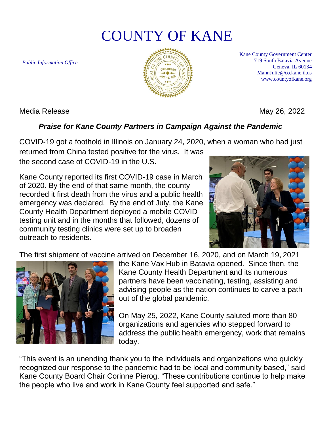# COUNTY OF KANE

*Public Information Office*



Kane County Government Center 719 South Batavia Avenue Geneva, IL 60134 MannJulie@co.kane.il.us www.countyofkane.org

Media Release May 26, 2022

## *Praise for Kane County Partners in Campaign Against the Pandemic*

COVID-19 got a foothold in Illinois on January 24, 2020, when a woman who had just

returned from China tested positive for the virus. It was the second case of COVID-19 in the U.S.

Kane County reported its first COVID-19 case in March of 2020. By the end of that same month, the county recorded it first death from the virus and a public health emergency was declared. By the end of July, the Kane County Health Department deployed a mobile COVID testing unit and in the months that followed, dozens of community testing clinics were set up to broaden outreach to residents.



The first shipment of vaccine arrived on December 16, 2020, and on March 19, 2021



the Kane Vax Hub in Batavia opened. Since then, the Kane County Health Department and its numerous partners have been vaccinating, testing, assisting and advising people as the nation continues to carve a path out of the global pandemic.

On May 25, 2022, Kane County saluted more than 80 organizations and agencies who stepped forward to address the public health emergency, work that remains today.

"This event is an unending thank you to the individuals and organizations who quickly recognized our response to the pandemic had to be local and community based," said Kane County Board Chair Corinne Pierog. "These contributions continue to help make the people who live and work in Kane County feel supported and safe."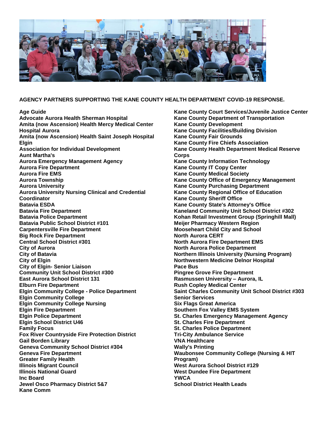

### **AGENCY PARTNERS SUPPORTING THE KANE COUNTY HEALTH DEPARTMENT COVID-19 RESPONSE.**

**Age Guide Advocate Aurora Health Sherman Hospital Amita (now Ascension) Health Mercy Medical Center Hospital Aurora Amita (now Ascension) Health Saint Joseph Hospital Elgin Association for Individual Development Aunt Martha's Aurora Emergency Management Agency Aurora Fire Department Aurora Fire EMS Aurora Township Aurora University Aurora University Nursing Clinical and Credential Coordinator Batavia ESDA Batavia Fire Department Batavia Police Department Batavia Public School District #101 Carpentersville Fire Department Big Rock Fire Department Central School District #301 City of Aurora City of Batavia City of Elgin City of Elgin- Senior Liaison Community Unit School District #300 East Aurora School District 131 Elburn Fire Department Elgin Community College - Police Department Elgin Community College Elgin Community College Nursing Elgin Fire Department Elgin Police Department Elgin School District U46 Family Focus Fox River Countryside Fire Protection District Gail Borden Library Geneva Community School District #304 Geneva Fire Department Greater Family Health Illinois Migrant Council Illinois National Guard Inc Board Jewel Osco Pharmacy District 5&7 Kane Comm**

**Kane County Court Services/Juvenile Justice Center Kane County Department of Transportation Kane County Development Kane County Facilities/Building Division Kane County Fair Grounds Kane County Fire Chiefs Association Kane County Health Department Medical Reserve Corps Kane County Information Technology Kane County IT Copy Center Kane County Medical Society Kane County Office of Emergency Management Kane County Purchasing Department Kane County Regional Office of Education Kane County Sheriff Office Kane County State's Attorney's Office Kaneland Community Unit School District #302 Kohan Retail Investment Group (Springhill Mall) Meijer Pharmacy Western Region Mooseheart Child City and School North Aurora CERT North Aurora Fire Department EMS North Aurora Police Department Northern Illinois University (Nursing Program) Northwestern Medicine Delnor Hospital Pace Bus Pingree Grove Fire Department Rasmussen University – Aurora, IL Rush Copley Medical Center Saint Charles Community Unit School District #303 Senior Services Six Flags Great America Southern Fox Valley EMS System St. Charles Emergency Management Agency St. Charles Fire Department St. Charles Police Department Tri-City Ambulance Service VNA Healthcare Wally's Printing Waubonsee Community College (Nursing & HIT Program) West Aurora School District #129 West Dundee Fire Department YWCA School District Health Leads**